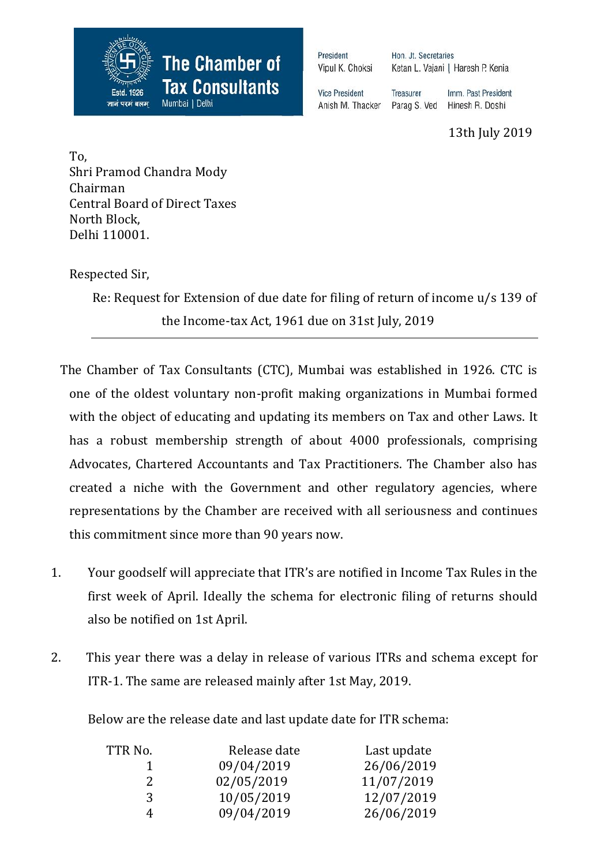

| President             | Hon. Jt. Secretaries |                                   |
|-----------------------|----------------------|-----------------------------------|
| Vipul K. Choksi       |                      | Ketan L. Vajani   Haresh P. Kenia |
| <b>Vice President</b> | <b>Treasurer</b>     | Imm. Past President               |

**Vice** Anish M. Thacker Parag S. Ved

13th July 2019

Hinesh R. Doshi

To, Shri Pramod Chandra Mody Chairman Central Board of Direct Taxes North Block, Delhi 110001.

Respected Sir,

Re: Request for Extension of due date for filing of return of income u/s 139 of the Income-tax Act, 1961 due on 31st July, 2019

- The Chamber of Tax Consultants (CTC), Mumbai was established in 1926. CTC is one of the oldest voluntary non-profit making organizations in Mumbai formed with the object of educating and updating its members on Tax and other Laws. It has a robust membership strength of about 4000 professionals, comprising Advocates, Chartered Accountants and Tax Practitioners. The Chamber also has created a niche with the Government and other regulatory agencies, where representations by the Chamber are received with all seriousness and continues this commitment since more than 90 years now.
- 1. Your goodself will appreciate that ITR's are notified in Income Tax Rules in the first week of April. Ideally the schema for electronic filing of returns should also be notified on 1st April.
- 2. This year there was a delay in release of various ITRs and schema except for ITR-1. The same are released mainly after 1st May, 2019.

Below are the release date and last update date for ITR schema:

| TTR No. | Release date | Last update |
|---------|--------------|-------------|
|         | 09/04/2019   | 26/06/2019  |
|         | 02/05/2019   | 11/07/2019  |
| 3       | 10/05/2019   | 12/07/2019  |
| Δ       | 09/04/2019   | 26/06/2019  |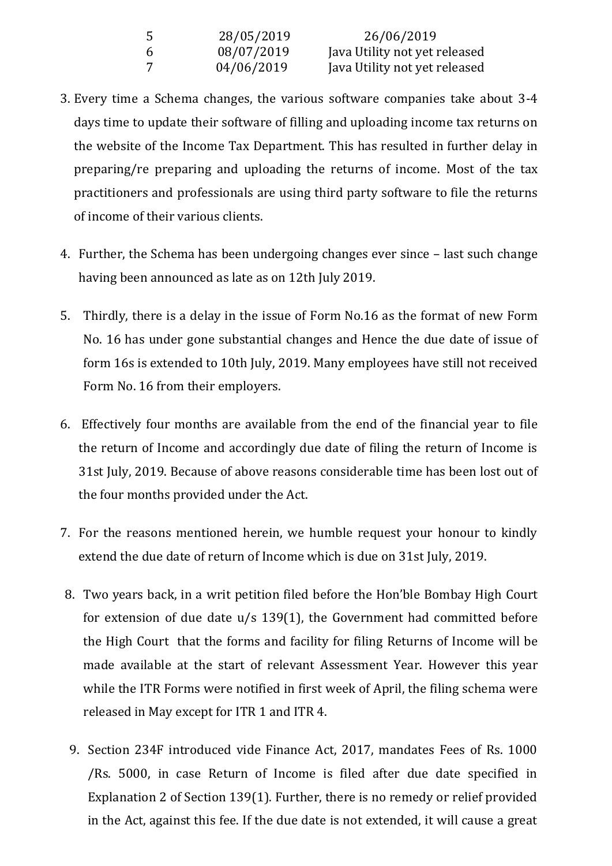| 5 | 28/05/2019 | 26/06/2019                    |
|---|------------|-------------------------------|
| 6 | 08/07/2019 | Java Utility not yet released |
| 7 | 04/06/2019 | Java Utility not yet released |

- 3. Every time a Schema changes, the various software companies take about 3-4 days time to update their software of filling and uploading income tax returns on the website of the Income Tax Department. This has resulted in further delay in preparing/re preparing and uploading the returns of income. Most of the tax practitioners and professionals are using third party software to file the returns of income of their various clients.
- 4. Further, the Schema has been undergoing changes ever since last such change having been announced as late as on 12th July 2019.
- 5. Thirdly, there is a delay in the issue of Form No.16 as the format of new Form No. 16 has under gone substantial changes and Hence the due date of issue of form 16s is extended to 10th July, 2019. Many employees have still not received Form No. 16 from their employers.
- 6. Effectively four months are available from the end of the financial year to file the return of Income and accordingly due date of filing the return of Income is 31st July, 2019. Because of above reasons considerable time has been lost out of the four months provided under the Act.
- 7. For the reasons mentioned herein, we humble request your honour to kindly extend the due date of return of Income which is due on 31st July, 2019.
- 8. Two years back, in a writ petition filed before the Hon'ble Bombay High Court for extension of due date u/s 139(1), the Government had committed before the High Court that the forms and facility for filing Returns of Income will be made available at the start of relevant Assessment Year. However this year while the ITR Forms were notified in first week of April, the filing schema were released in May except for ITR 1 and ITR 4.
- 9. Section 234F introduced vide Finance Act, 2017, mandates Fees of Rs. 1000 /Rs. 5000, in case Return of Income is filed after due date specified in Explanation 2 of Section 139(1). Further, there is no remedy or relief provided in the Act, against this fee. If the due date is not extended, it will cause a great